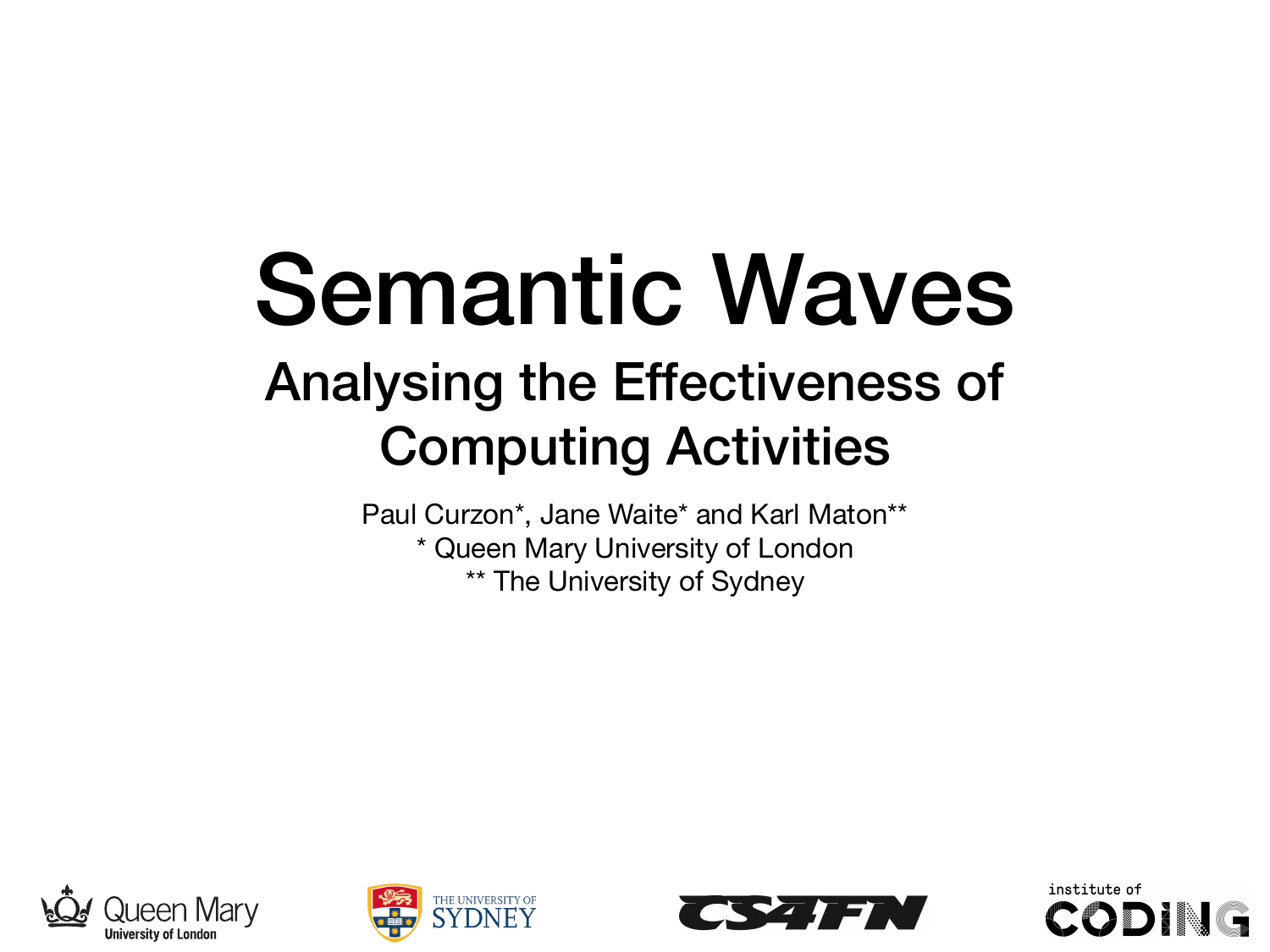#### Semantic Waves Analysing the Effectiveness of Computing Activities

Paul Curzon\*, Jane Waite\* and Karl Maton\*\* \* Queen Mary University of London \*\* The University of Sydney







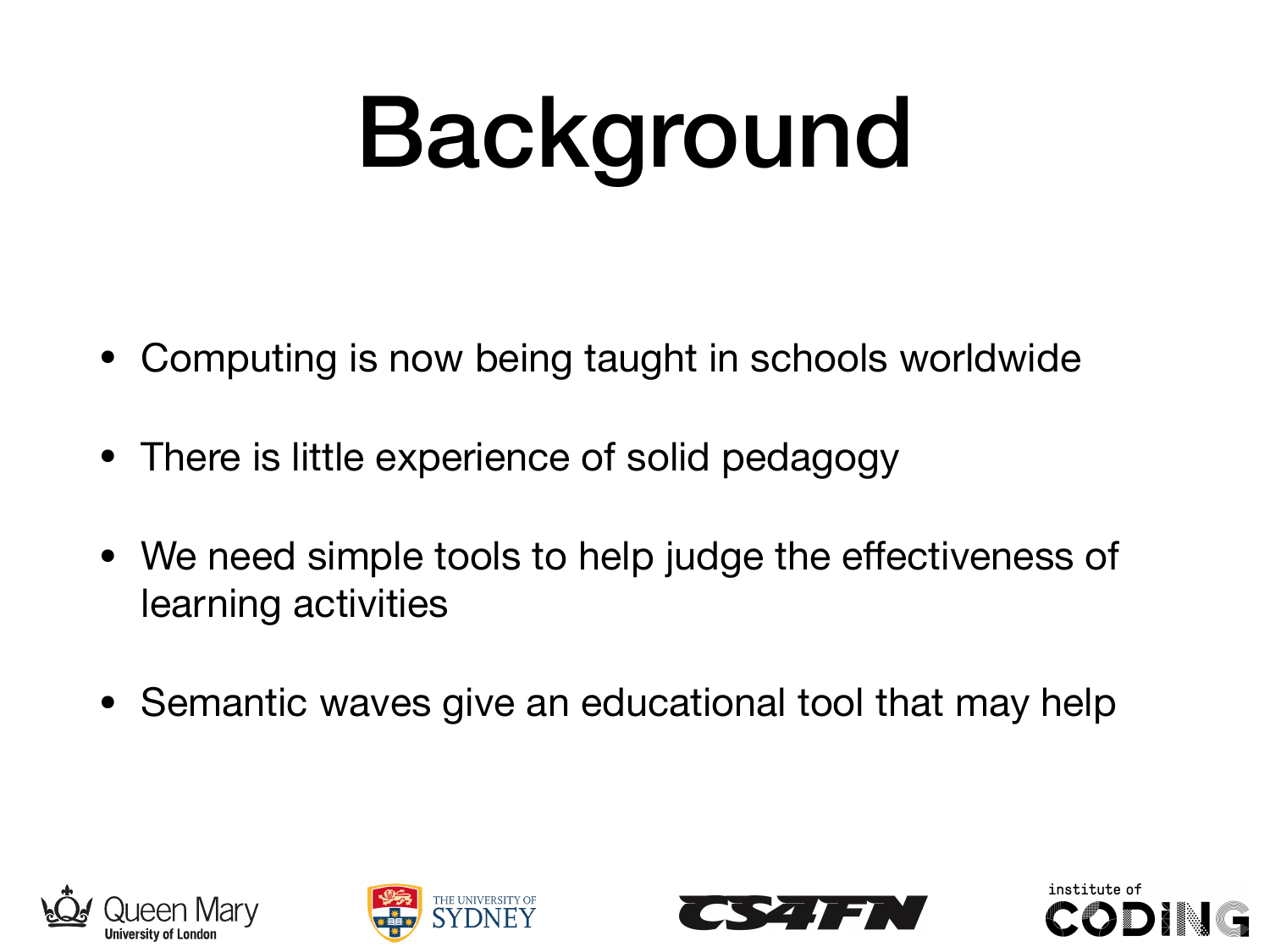# Background

- Computing is now being taught in schools worldwide
- There is little experience of solid pedagogy
- We need simple tools to help judge the effectiveness of learning activities
- Semantic waves give an educational tool that may help







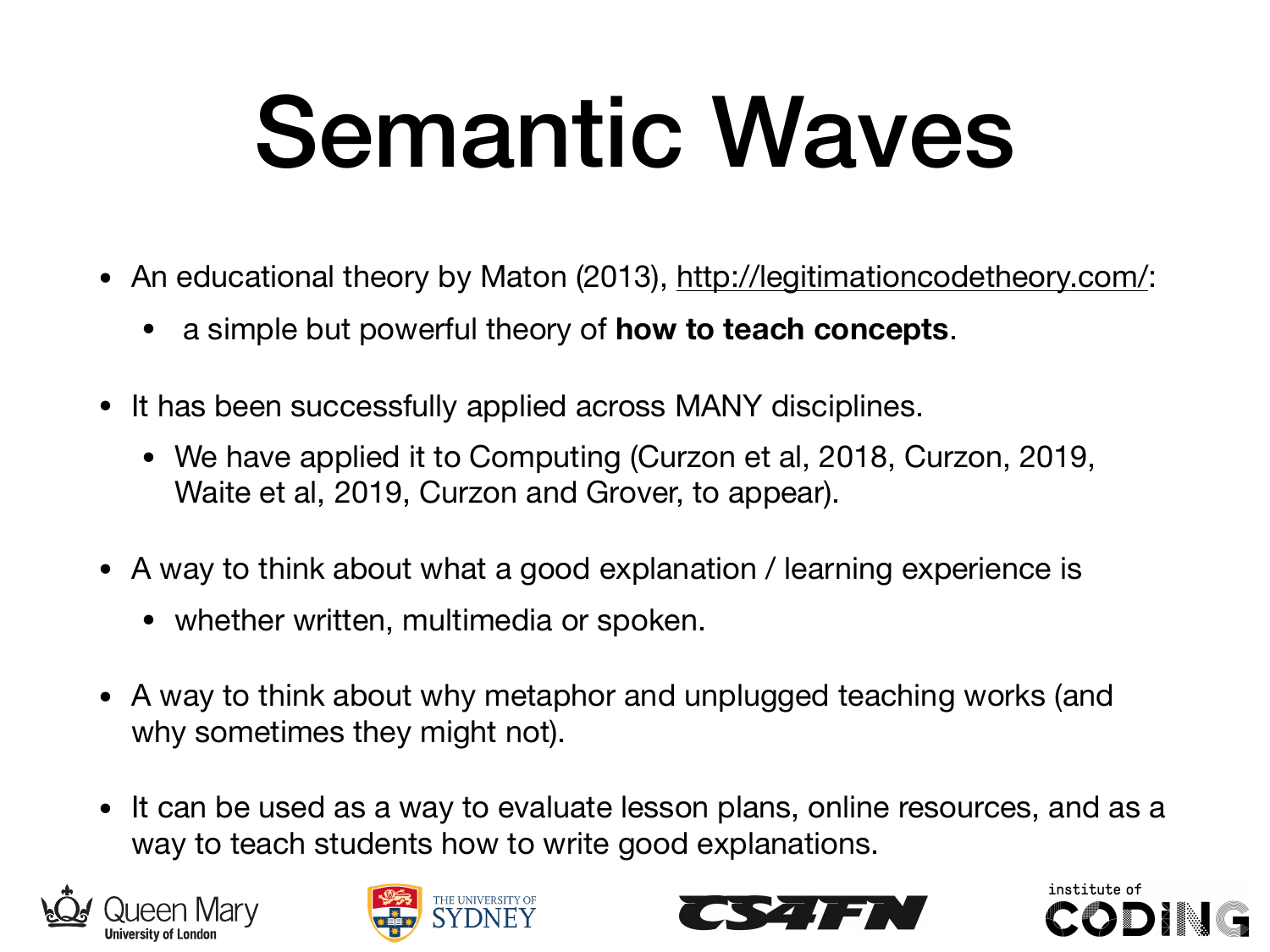## Semantic Waves

- An educational theory by Maton (2013), http://legitimationcodetheory.com/:
	- a simple but powerful theory of **how to teach concepts**.
- It has been successfully applied across MANY disciplines.
	- We have applied it to Computing (Curzon et al, 2018, Curzon, 2019, Waite et al, 2019, Curzon and Grover, to appear).
- A way to think about what a good explanation / learning experience is
	- whether written, multimedia or spoken.
- A way to think about why metaphor and unplugged teaching works (and why sometimes they might not).
- It can be used as a way to evaluate lesson plans, online resources, and as a way to teach students how to write good explanations.







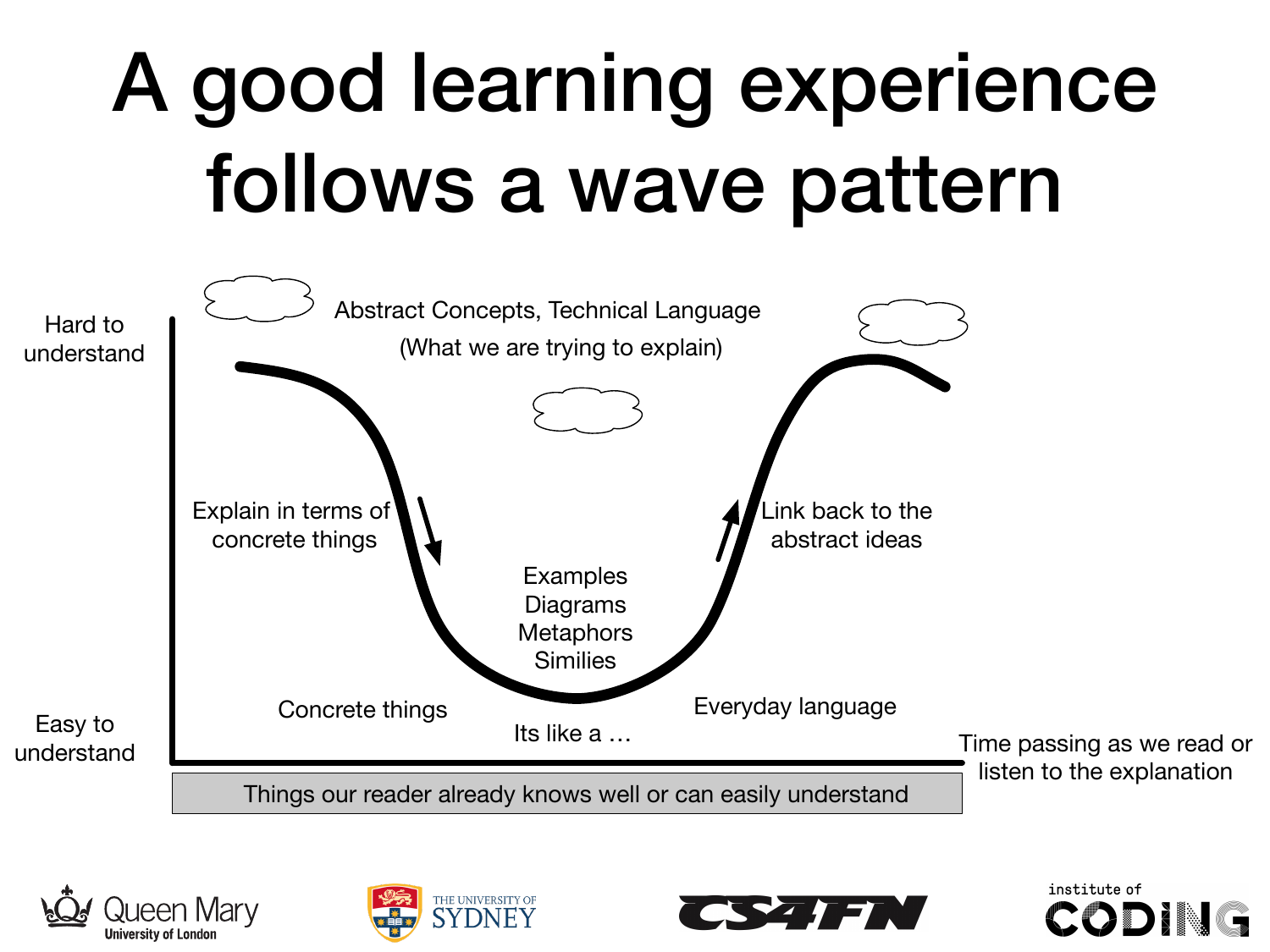#### A good learning experience follows a wave pattern









institute of

CODI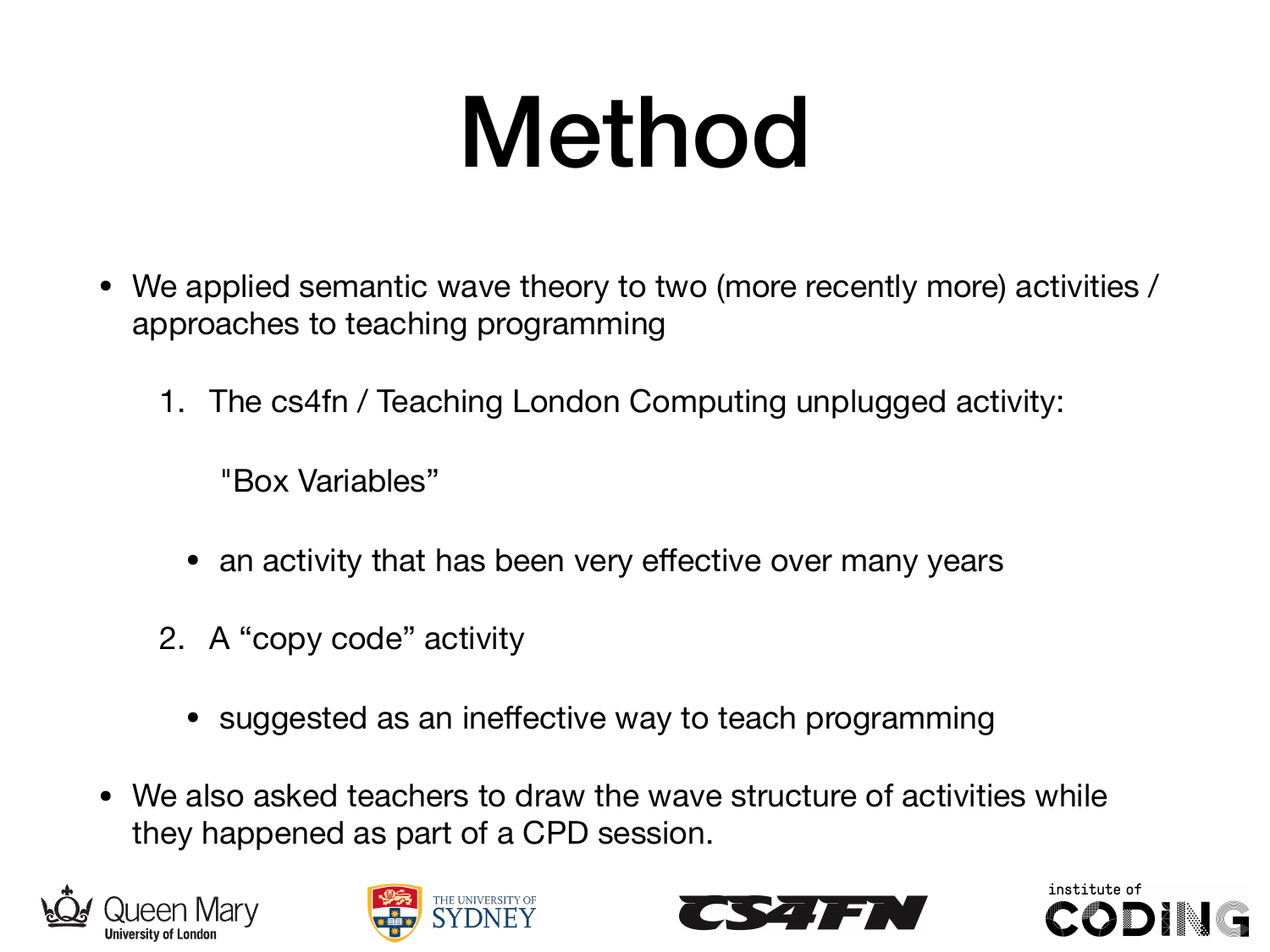### Method

- We applied semantic wave theory to two (more recently more) activities / approaches to teaching programming
	- 1. The cs4fn / Teaching London Computing unplugged activity:

"Box Variables"

- an activity that has been very effective over many years
- 2. A "copy code" activity
	- suggested as an ineffective way to teach programming
- We also asked teachers to draw the wave structure of activities while they happened as part of a CPD session.







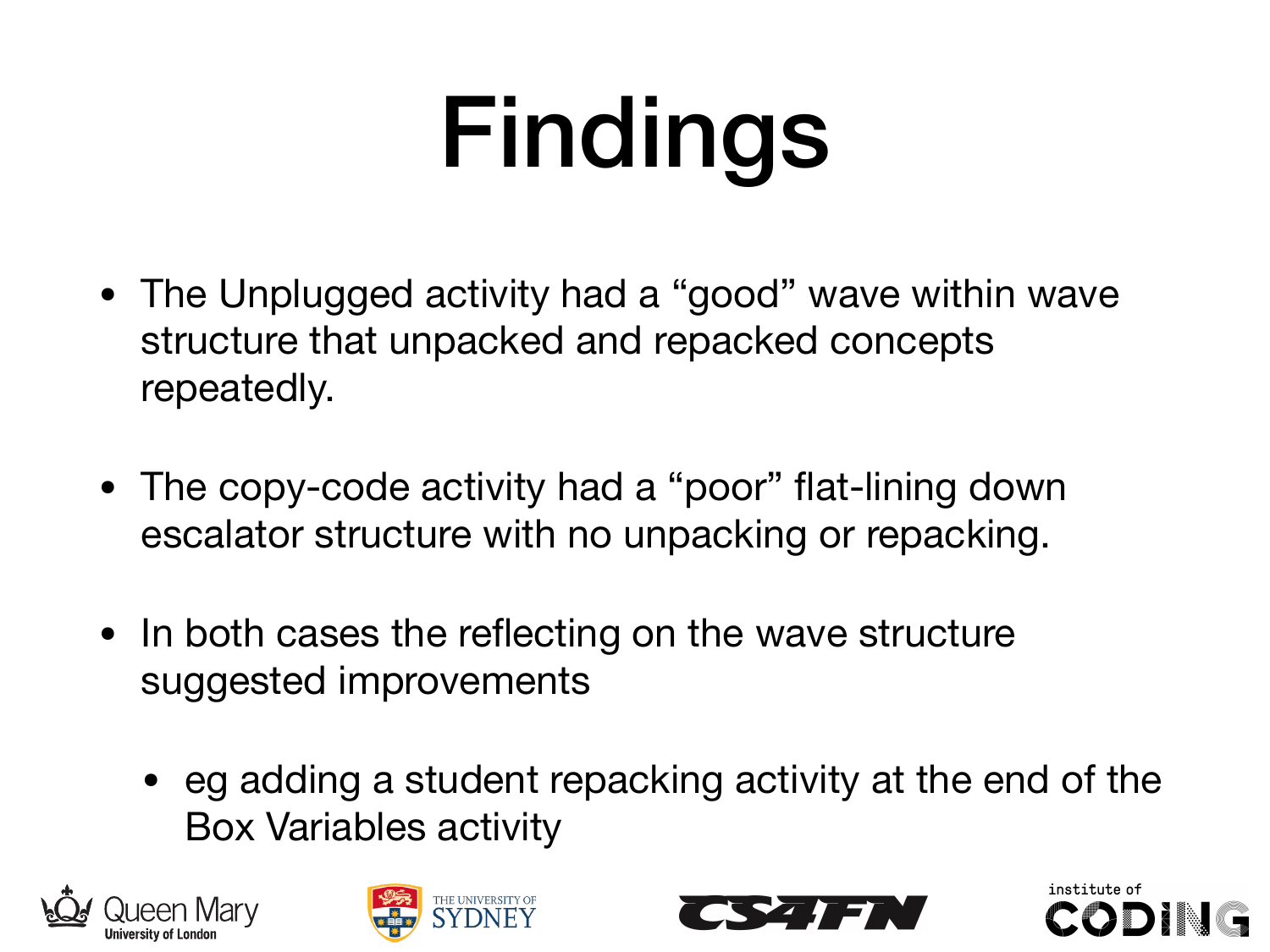# Findings

- The Unplugged activity had a "good" wave within wave structure that unpacked and repacked concepts repeatedly.
- The copy-code activity had a "poor" flat-lining down escalator structure with no unpacking or repacking.
- In both cases the reflecting on the wave structure suggested improvements
	- eg adding a student repacking activity at the end of the Box Variables activity







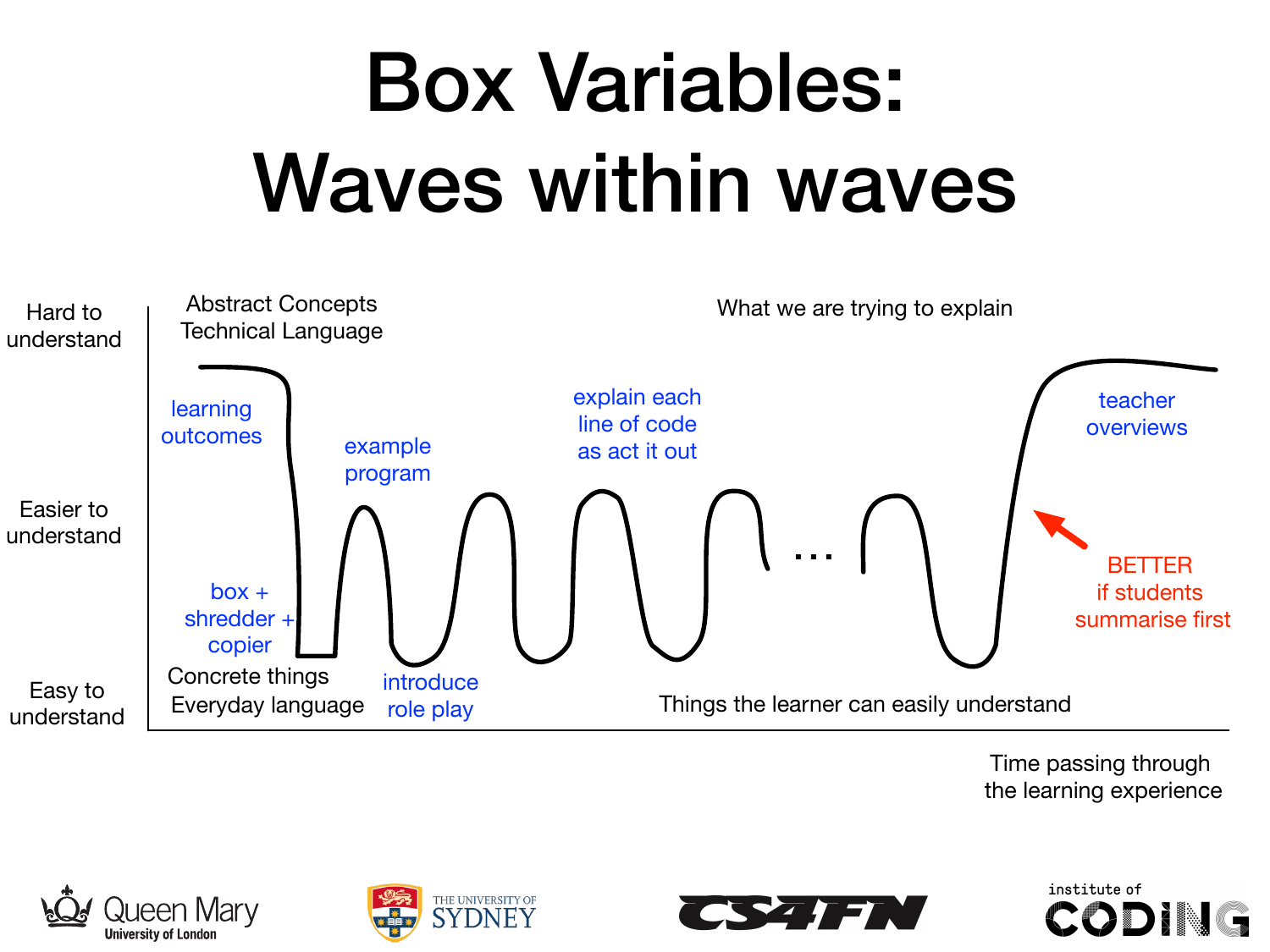#### Box Variables: Waves within waves



Time passing through the learning experience







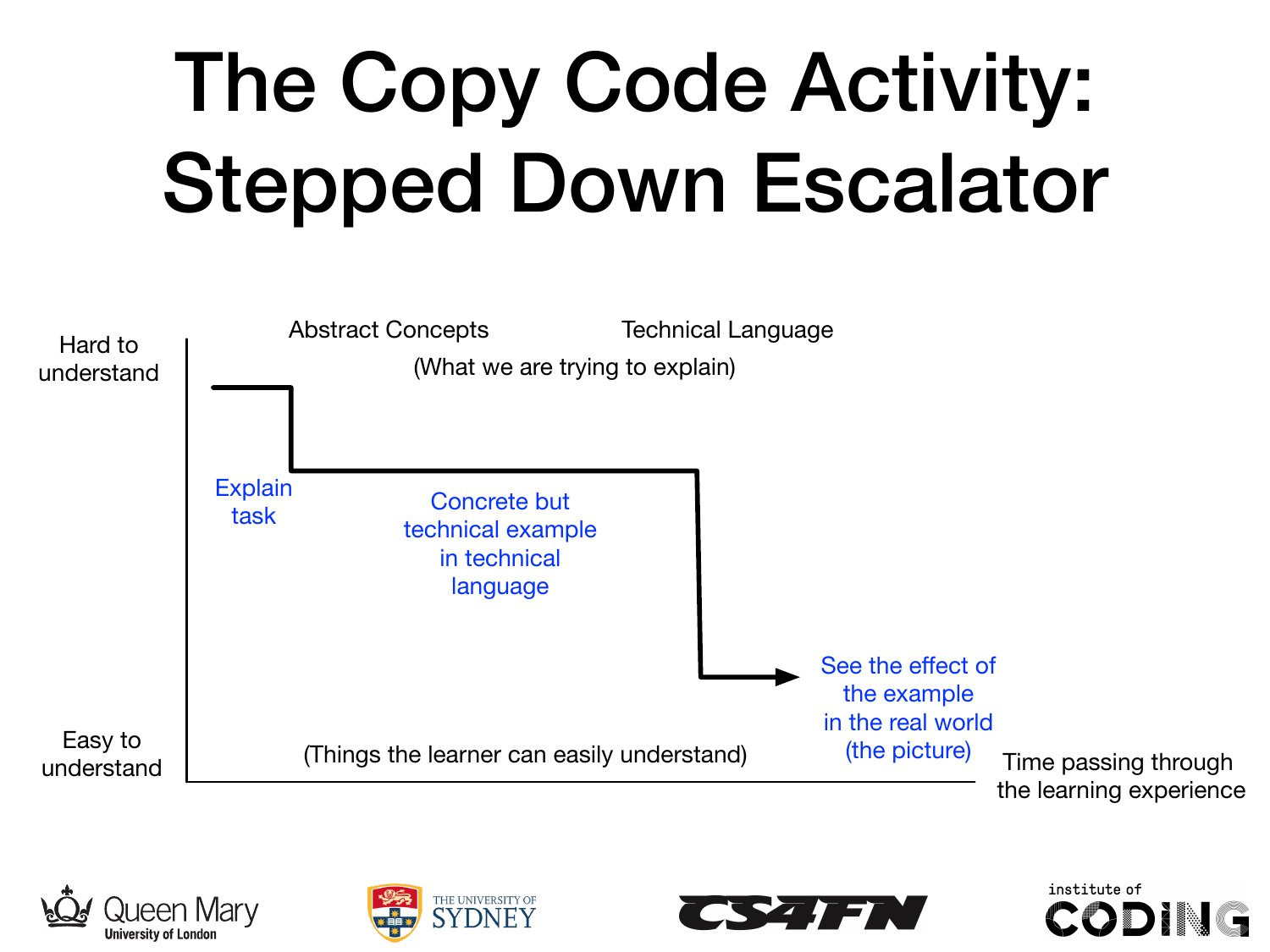#### The Copy Code Activity: Stepped Down Escalator









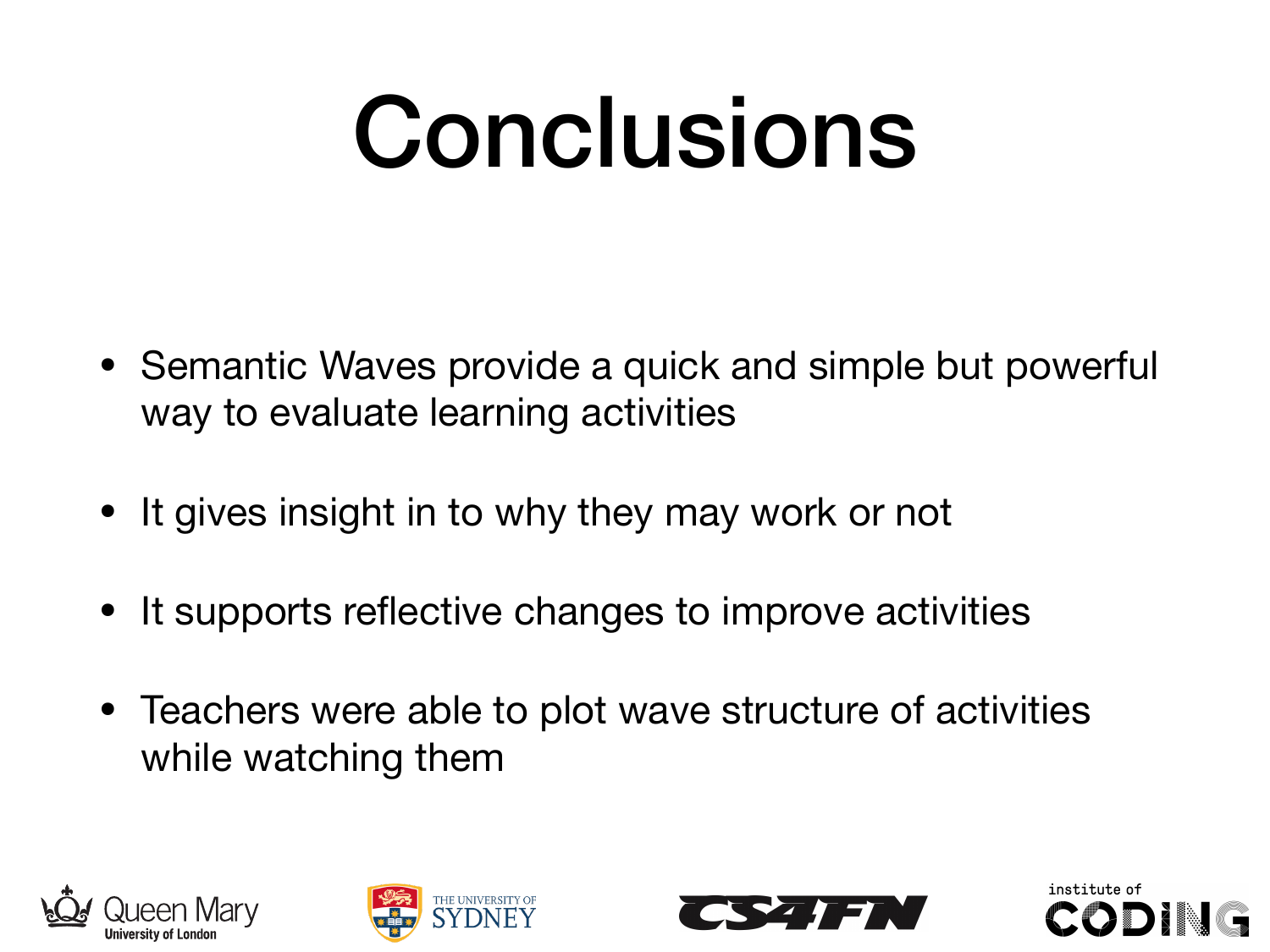### Conclusions

- Semantic Waves provide a quick and simple but powerful way to evaluate learning activities
- It gives insight in to why they may work or not
- It supports reflective changes to improve activities
- Teachers were able to plot wave structure of activities while watching them







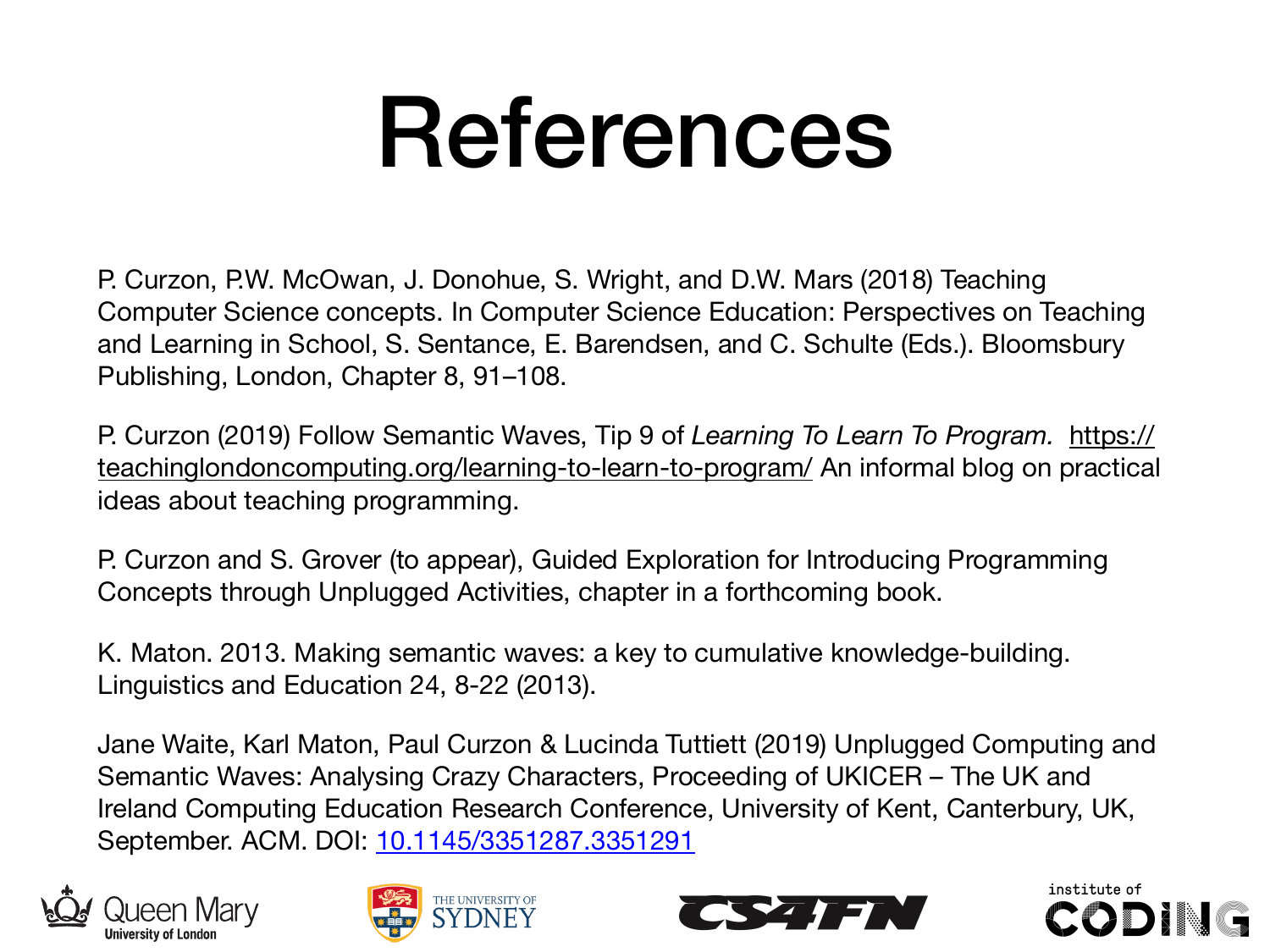### References

P. Curzon, P.W. McOwan, J. Donohue, S. Wright, and D.W. Mars (2018) Teaching Computer Science concepts. In Computer Science Education: Perspectives on Teaching and Learning in School, S. Sentance, E. Barendsen, and C. Schulte (Eds.). Bloomsbury Publishing, London, Chapter 8, 91–108.

P. Curzon (2019) Follow Semantic Waves, Tip 9 of *Learning To Learn To Program.* https:// teachinglondoncomputing.org/learning-to-learn-to-program/ An informal blog on practical ideas about teaching programming.

P. Curzon and S. Grover (to appear), Guided Exploration for Introducing Programming Concepts through Unplugged Activities, chapter in a forthcoming book.

K. Maton. 2013. Making semantic waves: a key to cumulative knowledge-building. Linguistics and Education 24, 8-22 (2013).

Jane Waite, Karl Maton, Paul Curzon & Lucinda Tuttiett (2019) Unplugged Computing and Semantic Waves: Analysing Crazy Characters, Proceeding of UKICER – The UK and Ireland Computing Education Research Conference, University of Kent, Canterbury, UK, September. ACM. DOI: 10.1145/3351287.3351291